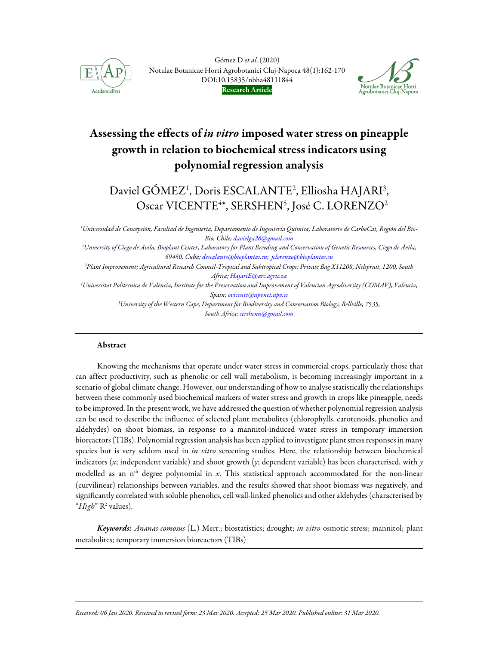

Gómez D et al. (2020) Notulae Botanicae Horti Agrobotanici Cluj-Napoca 48(1):162-170 DOI:10.15835/nbha48111844 Research Article



# Assessing the effects of *in vitro* imposed water stress on pineapple growth in relation to biochemical stress indicators using polynomial regression analysis

# Daviel GÓMEZ<sup>1</sup>, Doris ESCALANTE<sup>2</sup>, Elliosha HAJARI<sup>3</sup>, Oscar VICENTE<sup>4\*</sup>, SERSHEN<sup>5</sup>, José C. LORENZO<sup>2</sup>

1Universidad de Concepción, Facultad de Ingeniería, Departamento de Ingeniería Química, Laboratorio de CarboCat, Región del Bio-Bio, Chile; davielga26@gmail.com

<sup>2</sup>University of Ciego de Avila, Bioplant Center, Laboratory for Plant Breeding and Conservation of Genetic Resources, Ciego de Ávila, 69450, Cuba; descalante@bioplantas.cu; jclorenzo@bioplantas.cu

<sup>3</sup>Plant Improvement; Agricultural Research Council-Tropical and Subtropical Crops; Private Bag X11208, Nelspruit, 1200, South Africa; HajariE@arc.agric.za

<sup>4</sup>Universitat Politècnica de València, Institute for the Preservation and Improvement of Valencian Agrodiversity (COMAV), Valencia, Spain; ovicente@upvnet.upv.es

> <sup>5</sup>University of the Western Cape, Department for Biodiversity and Conservation Biology, Bellville, 7535, South Africa; sershenn@gmail.com

## Abstract

j

Knowing the mechanisms that operate under water stress in commercial crops, particularly those that can affect productivity, such as phenolic or cell wall metabolism, is becoming increasingly important in a scenario of global climate change. However, our understanding of how to analyse statistically the relationships between these commonly used biochemical markers of water stress and growth in crops like pineapple, needs to be improved. In the present work, we have addressed the question of whether polynomial regression analysis can be used to describe the influence of selected plant metabolites (chlorophylls, carotenoids, phenolics and aldehydes) on shoot biomass, in response to a mannitol-induced water stress in temporary immersion bioreactors (TIBs). Polynomial regression analysis has been applied to investigate plant stress responses in many species but is very seldom used in in vitro screening studies. Here, the relationship between biochemical indicators (x; independent variable) and shoot growth (y; dependent variable) has been characterised, with  $\gamma$ modelled as an  $n<sup>th</sup>$  degree polynomial in x. This statistical approach accommodated for the non-linear (curvilinear) relationships between variables, and the results showed that shoot biomass was negatively, and significantly correlated with soluble phenolics, cell wall-linked phenolics and other aldehydes (characterised by "High" R<sup>2</sup> values).

Keywords: Ananas comosus (L.) Merr.; biostatistics; drought; in vitro osmotic stress; mannitol; plant metabolites; temporary immersion bioreactors (TIBs)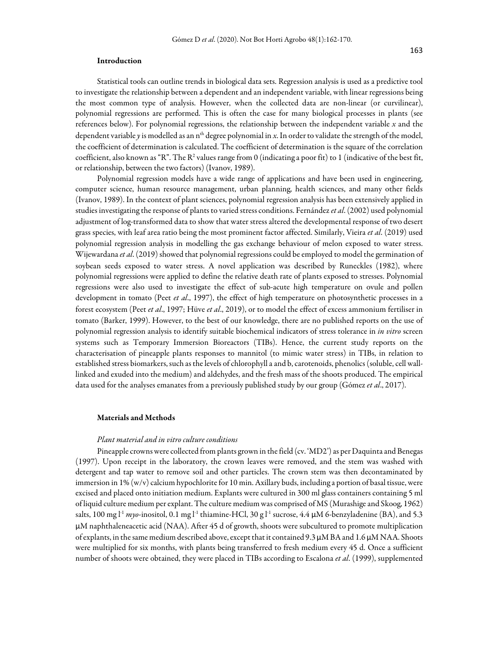## Introduction

Statistical tools can outline trends in biological data sets. Regression analysis is used as a predictive tool to investigate the relationship between a dependent and an independent variable, with linear regressions being the most common type of analysis. However, when the collected data are non-linear (or curvilinear), polynomial regressions are performed. This is often the case for many biological processes in plants (see references below). For polynomial regressions, the relationship between the independent variable  $x$  and the dependent variable y is modelled as an n<sup>th</sup> degree polynomial in x. In order to validate the strength of the model, the coefficient of determination is calculated. The coefficient of determination is the square of the correlation coefficient, also known as "R". The R<sup>2</sup> values range from 0 (indicating a poor fit) to 1 (indicative of the best fit, or relationship, between the two factors) (Ivanov, 1989).

Polynomial regression models have a wide range of applications and have been used in engineering, computer science, human resource management, urban planning, health sciences, and many other fields (Ivanov, 1989). In the context of plant sciences, polynomial regression analysis has been extensively applied in studies investigating the response of plants to varied stress conditions. Fernández et al. (2002) used polynomial adjustment of log-transformed data to show that water stress altered the developmental response of two desert grass species, with leaf area ratio being the most prominent factor affected. Similarly, Vieira et al. (2019) used polynomial regression analysis in modelling the gas exchange behaviour of melon exposed to water stress. Wijewardana et al. (2019) showed that polynomial regressions could be employed to model the germination of soybean seeds exposed to water stress. A novel application was described by Runeckles (1982), where polynomial regressions were applied to define the relative death rate of plants exposed to stresses. Polynomial regressions were also used to investigate the effect of sub-acute high temperature on ovule and pollen development in tomato (Peet *et al.*, 1997), the effect of high temperature on photosynthetic processes in a forest ecosystem (Peet et al., 1997; Hüve et al., 2019), or to model the effect of excess ammonium fertiliser in tomato (Barker, 1999). However, to the best of our knowledge, there are no published reports on the use of polynomial regression analysis to identify suitable biochemical indicators of stress tolerance in in vitro screen systems such as Temporary Immersion Bioreactors (TIBs). Hence, the current study reports on the characterisation of pineapple plants responses to mannitol (to mimic water stress) in TIBs, in relation to established stress biomarkers, such as the levels of chlorophyll a and b, carotenoids, phenolics (soluble, cell walllinked and exuded into the medium) and aldehydes, and the fresh mass of the shoots produced. The empirical data used for the analyses emanates from a previously published study by our group (Gómez et al., 2017).

### Materials and Methods

## Plant material and in vitro culture conditions

Pineapple crowns were collected from plants grown in the field (cv. 'MD2') as per Daquinta and Benegas (1997). Upon receipt in the laboratory, the crown leaves were removed, and the stem was washed with detergent and tap water to remove soil and other particles. The crown stem was then decontaminated by immersion in 1% (w/v) calcium hypochlorite for 10 min. Axillary buds, including a portion of basal tissue, were excised and placed onto initiation medium. Explants were cultured in 300 ml glass containers containing 5 ml of liquid culture medium per explant. The culture medium was comprised of MS (Murashige and Skoog, 1962) salts, 100 mg l<sup>-1</sup> myo-inositol, 0.1 mg l<sup>-1</sup> thiamine-HCl, 30 g l<sup>-1</sup> sucrose, 4.4 µM 6-benzyladenine (BA), and 5.3 μM naphthaleneacetic acid (NAA). After 45 d of growth, shoots were subcultured to promote multiplication of explants, in the same medium described above, except that it contained 9.3 μM BA and 1.6 μM NAA. Shoots were multiplied for six months, with plants being transferred to fresh medium every 45 d. Once a sufficient number of shoots were obtained, they were placed in TIBs according to Escalona et al. (1999), supplemented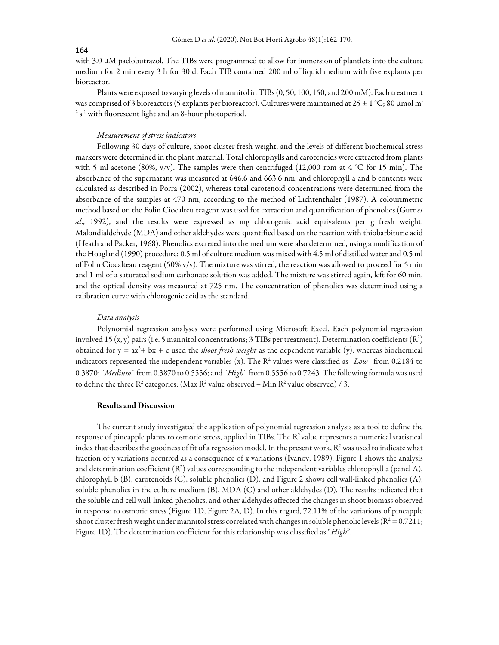#### 164

with 3.0 μM paclobutrazol. The TIBs were programmed to allow for immersion of plantlets into the culture medium for 2 min every 3 h for 30 d. Each TIB contained 200 ml of liquid medium with five explants per bioreactor.

Plants were exposed to varying levels of mannitol in TIBs (0, 50, 100, 150, and 200 mM). Each treatment was comprised of 3 bioreactors (5 explants per bioreactor). Cultures were maintained at 25 ± 1 °C; 80 μmol m<sup>-</sup> <sup>2</sup> s<sup>-1</sup> with fluorescent light and an 8-hour photoperiod.

## Measurement of stress indicators

Following 30 days of culture, shoot cluster fresh weight, and the levels of different biochemical stress markers were determined in the plant material. Total chlorophylls and carotenoids were extracted from plants with 5 ml acetone (80%, v/v). The samples were then centrifuged (12,000 rpm at 4 °C for 15 min). The absorbance of the supernatant was measured at 646.6 and 663.6 nm, and chlorophyll a and b contents were calculated as described in Porra (2002), whereas total carotenoid concentrations were determined from the absorbance of the samples at 470 nm, according to the method of Lichtenthaler (1987). A colourimetric method based on the Folin Ciocalteu reagent was used for extraction and quantification of phenolics (Gurr et al., 1992), and the results were expressed as mg chlorogenic acid equivalents per g fresh weight. Malondialdehyde (MDA) and other aldehydes were quantified based on the reaction with thiobarbituric acid (Heath and Packer, 1968). Phenolics excreted into the medium were also determined, using a modification of the Hoagland (1990) procedure: 0.5 ml of culture medium was mixed with 4.5 ml of distilled water and 0.5 ml of Folin Ciocalteau reagent (50% v/v). The mixture was stirred, the reaction was allowed to proceed for 5 min and 1 ml of a saturated sodium carbonate solution was added. The mixture was stirred again, left for 60 min, and the optical density was measured at 725 nm. The concentration of phenolics was determined using a calibration curve with chlorogenic acid as the standard.

#### Data analysis

Polynomial regression analyses were performed using Microsoft Excel. Each polynomial regression involved 15 (x, y) pairs (i.e. 5 mannitol concentrations; 3 TIBs per treatment). Determination coefficients (R<sup>2</sup>) obtained for  $y = ax^2 + bx + c$  used the *shoot fresh weight* as the dependent variable (y), whereas biochemical indicators represented the independent variables (x). The R<sup>2</sup> values were classified as "Low" from 0.2184 to 0.3870; "Medium" from 0.3870 to 0.5556; and "High" from 0.5556 to 0.7243. The following formula was used to define the three R<sup>2</sup> categories: (Max R<sup>2</sup> value observed – Min R<sup>2</sup> value observed) / 3.

## Results and Discussion

The current study investigated the application of polynomial regression analysis as a tool to define the response of pineapple plants to osmotic stress, applied in TIBs. The R<sup>2</sup> value represents a numerical statistical index that describes the goodness of fit of a regression model. In the present work,  $R^2$  was used to indicate what fraction of y variations occurred as a consequence of x variations (Ivanov, 1989). Figure 1 shows the analysis and determination coefficient ( $\mathsf{R}^2$ ) values corresponding to the independent variables chlorophyll a (panel A), chlorophyll b (B), carotenoids (C), soluble phenolics (D), and Figure 2 shows cell wall-linked phenolics (A), soluble phenolics in the culture medium (B), MDA (C) and other aldehydes (D). The results indicated that the soluble and cell wall-linked phenolics, and other aldehydes affected the changes in shoot biomass observed in response to osmotic stress (Figure 1D, Figure 2A, D). In this regard, 72.11% of the variations of pineapple shoot cluster fresh weight under mannitol stress correlated with changes in soluble phenolic levels ( $R^2 = 0.7211$ ; Figure 1D). The determination coefficient for this relationship was classified as "High".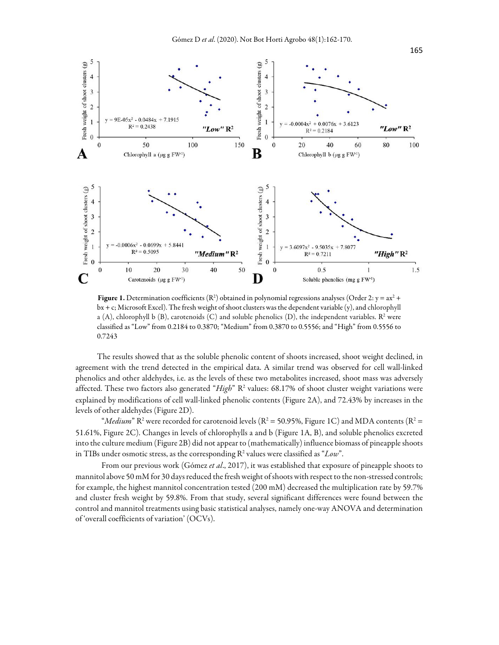

**Figure 1.** Determination coefficients ( $\mathbb{R}^2$ ) obtained in polynomial regressions analyses (Order 2:  $y = ax^2 + b$ bx + c; Microsoft Excel). The fresh weight of shoot clusters was the dependent variable (y), and chlorophyll a (A), chlorophyll b (B), carotenoids (C) and soluble phenolics (D), the independent variables.  $\mathbb{R}^2$  were classified as "Low" from 0.2184 to 0.3870; "Medium" from 0.3870 to 0.5556; and "High" from 0.5556 to 0.7243

The results showed that as the soluble phenolic content of shoots increased, shoot weight declined, in agreement with the trend detected in the empirical data. A similar trend was observed for cell wall-linked phenolics and other aldehydes, i.e. as the levels of these two metabolites increased, shoot mass was adversely affected. These two factors also generated "High"  $R^2$  values: 68.17% of shoot cluster weight variations were explained by modifications of cell wall-linked phenolic contents (Figure 2A), and 72.43% by increases in the levels of other aldehydes (Figure 2D).

"*Medium*" R<sup>2</sup> were recorded for carotenoid levels (R<sup>2</sup> = 50.95%, Figure 1C) and MDA contents (R<sup>2</sup> = 51.61%, Figure 2C). Changes in levels of chlorophylls a and b (Figure 1A, B), and soluble phenolics excreted into the culture medium (Figure 2B) did not appear to (mathematically) influence biomass of pineapple shoots in TIBs under osmotic stress, as the corresponding  $\mathbb{R}^2$  values were classified as "Low".

From our previous work (Gómez et al., 2017), it was established that exposure of pineapple shoots to mannitol above 50 mM for 30 days reduced the fresh weight of shoots with respect to the non-stressed controls; for example, the highest mannitol concentration tested (200 mM) decreased the multiplication rate by 59.7% and cluster fresh weight by 59.8%. From that study, several significant differences were found between the control and mannitol treatments using basic statistical analyses, namely one-way ANOVA and determination of 'overall coefficients of variation' (OCVs).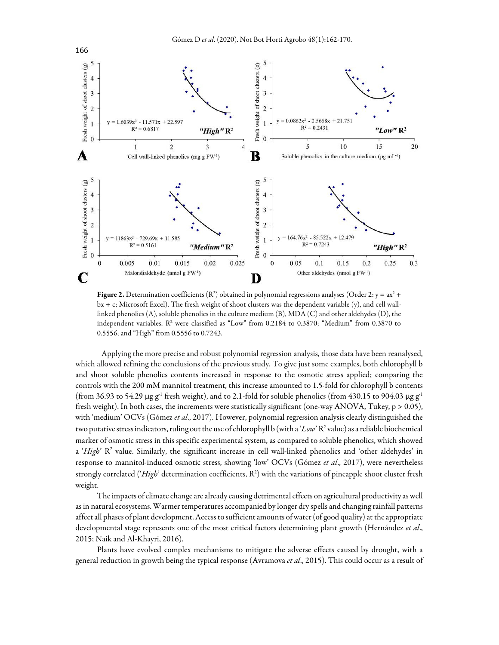

**Figure 2.** Determination coefficients ( $\mathbb{R}^2$ ) obtained in polynomial regressions analyses (Order 2:  $y = ax^2 + b$ bx + c; Microsoft Excel). The fresh weight of shoot clusters was the dependent variable (y), and cell walllinked phenolics (A), soluble phenolics in the culture medium (B), MDA (C) and other aldehydes (D), the independent variables.  $\mathbb{R}^2$  were classified as "Low" from 0.2184 to 0.3870; "Medium" from 0.3870 to 0.5556; and "High" from 0.5556 to 0.7243.

Applying the more precise and robust polynomial regression analysis, those data have been reanalysed, which allowed refining the conclusions of the previous study. To give just some examples, both chlorophyll b and shoot soluble phenolics contents increased in response to the osmotic stress applied; comparing the controls with the 200 mM mannitol treatment, this increase amounted to 1.5-fold for chlorophyll b contents (from 36.93 to 54.29 μg g<sup>-1</sup> fresh weight), and to 2.1-fold for soluble phenolics (from 430.15 to 904.03 μg g<sup>-1</sup> fresh weight). In both cases, the increments were statistically significant (one-way ANOVA, Tukey, p > 0.05), with 'medium' OCVs (Gómez et al., 2017). However, polynomial regression analysis clearly distinguished the two putative stress indicators, ruling out the use of chlorophyll b (with a ' $Low$ '  $\rm R^2$  value) as a reliable biochemical marker of osmotic stress in this specific experimental system, as compared to soluble phenolics, which showed a 'High' R<sup>2</sup> value. Similarly, the significant increase in cell wall-linked phenolics and 'other aldehydes' in response to mannitol-induced osmotic stress, showing 'low' OCVs (Gómez et al., 2017), were nevertheless strongly correlated ('High' determination coefficients,  $R^2$ ) with the variations of pineapple shoot cluster fresh weight.

The impacts of climate change are already causing detrimental effects on agricultural productivity as well as in natural ecosystems. Warmer temperatures accompanied by longer dry spells and changing rainfall patterns affect all phases of plant development. Access to sufficient amounts of water (of good quality) at the appropriate developmental stage represents one of the most critical factors determining plant growth (Hernández et al., 2015; Naik and Al-Khayri, 2016).

Plants have evolved complex mechanisms to mitigate the adverse effects caused by drought, with a general reduction in growth being the typical response (Avramova et al., 2015). This could occur as a result of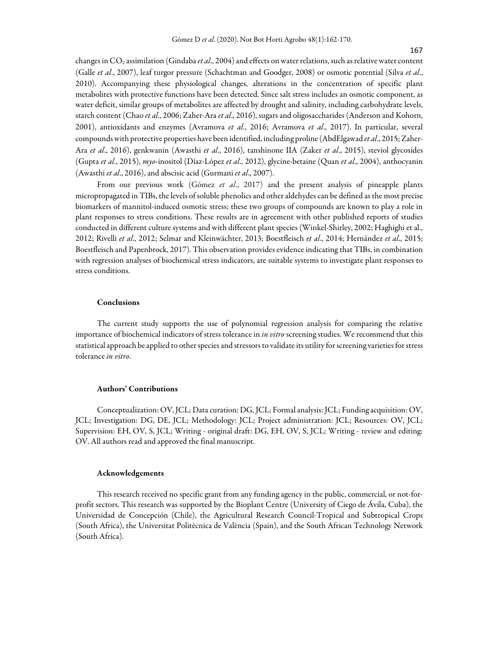changes in  $CO_2$  assimilation (Gindaba et al., 2004) and effects on water relations, such as relative water content (Galle et al., 2007), leaf turgor pressure (Schachtman and Goodger, 2008) or osmotic potential (Silva et al., 2010). Accompanying these physiological changes, alterations in the concentration of specific plant metabolites with protective functions have been detected. Since salt stress includes an osmotic component, as water deficit, similar groups of metabolites are affected by drought and salinity, including carbohydrate levels, starch content (Chao et al., 2006; Zaher-Ara et al., 2016), sugars and oligosaccharides (Anderson and Kohorn, 2001), antioxidants and enzymes (Avramova et al., 2016; Avramova et al., 2017). In particular, several compounds with protective properties have been identified, including proline (AbdElgawad et al., 2015; Zaher-Ara et al., 2016), genkwanin (Awasthi et al., 2016), tanshinone IIA (Zaker et al., 2015), steviol glycosides (Gupta et al., 2015), myo-inositol (Díaz-López et al., 2012), glycine-betaine (Quan et al., 2004), anthocyanin (Awasthi et al., 2016), and abscisic acid (Gurmani et al., 2007).

From our previous work (Gómez et al., 2017) and the present analysis of pineapple plants micropropagated in TIBs, the levels of soluble phenolics and other aldehydes can be defined as the most precise biomarkers of mannitol-induced osmotic stress; these two groups of compounds are known to play a role in plant responses to stress conditions. These results are in agreement with other published reports of studies conducted in different culture systems and with different plant species (Winkel-Shirley, 2002; Haghighi et al., 2012; Rivelli et al., 2012; Selmar and Kleinwächter, 2013; Boestfleisch et al., 2014; Hernández et al., 2015; Boestfleisch and Papenbrock, 2017). This observation provides evidence indicating that TIBs, in combination with regression analyses of biochemical stress indicators, are suitable systems to investigate plant responses to stress conditions.

#### Conclusions

The current study supports the use of polynomial regression analysis for comparing the relative importance of biochemical indicators of stress tolerance in in vitro screening studies. We recommend that this statistical approach be applied to other species and stressors to validate its utility for screening varieties for stress tolerance in vitro.

### Authors' Contributions

Conceptualization: OV, JCL; Data curation: DG, JCL; Formal analysis: JCL; Funding acquisition: OV, JCL; Investigation: DG, DE, JCL; Methodology: JCL; Project administration: JCL; Resources: OV, JCL; Supervision: EH, OV, S, JCL; Writing - original draft: DG, EH, OV, S, JCL; Writing - review and editing: OV. All authors read and approved the final manuscript.

#### Acknowledgements

This research received no specific grant from any funding agency in the public, commercial, or not-forprofit sectors. This research was supported by the Bioplant Centre (University of Ciego de Ávila, Cuba), the Universidad de Concepción (Chile), the Agricultural Research Council-Tropical and Subtropical Crops (South Africa), the Universitat Politècnica de València (Spain), and the South African Technology Network (South Africa).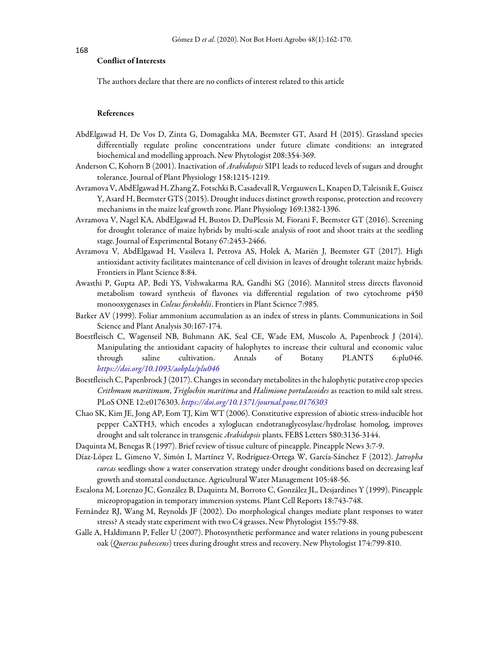168

## Conflict of Interests

The authors declare that there are no conflicts of interest related to this article

### References

- AbdElgawad H, De Vos D, Zinta G, Domagalska MA, Beemster GT, Asard H (2015). Grassland species differentially regulate proline concentrations under future climate conditions: an integrated biochemical and modelling approach. New Phytologist 208:354-369.
- Anderson C, Kohorn B (2001). Inactivation of *Arabidopsis* SIP1 leads to reduced levels of sugars and drought tolerance. Journal of Plant Physiology 158:1215-1219.
- Avramova V, AbdElgawad H, Zhang Z, Fotschki B, Casadevall R, Vergauwen L, Knapen D, Taleisnik E, Guisez Y, Asard H, Beemster GTS (2015). Drought induces distinct growth response, protection and recovery mechanisms in the maize leaf growth zone. Plant Physiology 169:1382-1396.
- Avramova V, Nagel KA, AbdElgawad H, Bustos D, DuPlessis M, Fiorani F, Beemster GT (2016). Screening for drought tolerance of maize hybrids by multi-scale analysis of root and shoot traits at the seedling stage. Journal of Experimental Botany 67:2453-2466.
- Avramova V, AbdElgawad H, Vasileva I, Petrova AS, Holek A, Mariën J, Beemster GT (2017). High antioxidant activity facilitates maintenance of cell division in leaves of drought tolerant maize hybrids. Frontiers in Plant Science 8:84.
- Awasthi P, Gupta AP, Bedi YS, Vishwakarma RA, Gandhi SG (2016). Mannitol stress directs flavonoid metabolism toward synthesis of flavones via differential regulation of two cytochrome p450 monooxygenases in Coleus forskohlii. Frontiers in Plant Science 7:985.
- Barker AV (1999). Foliar ammonium accumulation as an index of stress in plants. Communications in Soil Science and Plant Analysis 30:167-174.
- Boestfleisch C, Wagenseil NB, Buhmann AK, Seal CE, Wade EM, Muscolo A, Papenbrock J (2014). Manipulating the antioxidant capacity of halophytes to increase their cultural and economic value through saline cultivation. Annals of Botany PLANTS 6:plu046. https://doi.org/10.1093/aobpla/plu046
- Boestfleisch C, Papenbrock J (2017). Changes in secondary metabolites in the halophytic putative crop species Crithmum maritimum, Triglochin maritima and Halimione portulacoides as reaction to mild salt stress. PLoS ONE 12:e0176303. https://doi.org/10.1371/journal.pone.0176303
- Chao SK, Kim JE, Jong AP, Eom TJ, Kim WT (2006). Constitutive expression of abiotic stress-inducible hot pepper CaXTH3, which encodes a xyloglucan endotransglycosylase/hydrolase homolog, improves drought and salt tolerance in transgenic Arabidopsis plants. FEBS Letters 580:3136-3144.
- Daquinta M, Benegas R (1997). Brief review of tissue culture of pineapple. Pineapple News 3:7-9.
- Díaz-López L, Gimeno V, Simón I, Martínez V, Rodríguez-Ortega W, García-Sánchez F (2012). Jatropha curcas seedlings show a water conservation strategy under drought conditions based on decreasing leaf growth and stomatal conductance. Agricultural Water Management 105:48-56.
- Escalona M, Lorenzo JC, González B, Daquinta M, Borroto C, González JL, Desjardines Y (1999). Pineapple micropropagation in temporary immersion systems. Plant Cell Reports 18:743-748.
- Fernández RJ, Wang M, Reynolds JF (2002). Do morphological changes mediate plant responses to water stress? A steady state experiment with two C4 grasses. New Phytologist 155:79-88.
- Galle A, Haldimann P, Feller U (2007). Photosynthetic performance and water relations in young pubescent oak (Quercus pubescens) trees during drought stress and recovery. New Phytologist 174:799-810.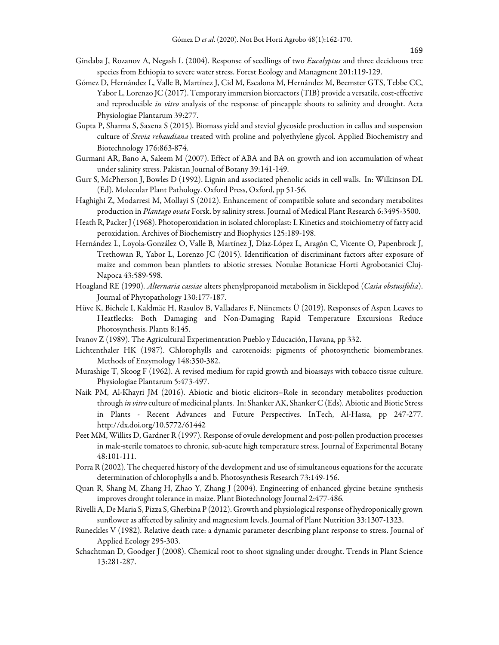- Gindaba J, Rozanov A, Negash L (2004). Response of seedlings of two Eucalyptus and three deciduous tree species from Ethiopia to severe water stress. Forest Ecology and Managment 201:119-129.
- Gómez D, Hernández L, Valle B, Martínez J, Cid M, Escalona M, Hernández M, Beemster GTS, Tebbe CC, Yabor L, Lorenzo JC (2017). Temporary immersion bioreactors (TIB) provide a versatile, cost-effective and reproducible in vitro analysis of the response of pineapple shoots to salinity and drought. Acta Physiologiae Plantarum 39:277.
- Gupta P, Sharma S, Saxena S (2015). Biomass yield and steviol glycoside production in callus and suspension culture of Stevia rebaudiana treated with proline and polyethylene glycol. Applied Biochemistry and Biotechnology 176:863-874.
- Gurmani AR, Bano A, Saleem M (2007). Effect of ABA and BA on growth and ion accumulation of wheat under salinity stress. Pakistan Journal of Botany 39:141-149.
- Gurr S, McPherson J, Bowles D (1992). Lignin and associated phenolic acids in cell walls. In: Wilkinson DL (Ed). Molecular Plant Pathology. Oxford Press, Oxford, pp 51-56.
- Haghighi Z, Modarresi M, Mollayi S (2012). Enhancement of compatible solute and secondary metabolites production in Plantago ovata Forsk. by salinity stress. Journal of Medical Plant Research 6:3495-3500.
- Heath R, Packer J (1968). Photoperoxidation in isolated chloroplast: I. Kinetics and stoichiometry of fatty acid peroxidation. Archives of Biochemistry and Biophysics 125:189-198.
- Hernández L, Loyola-González O, Valle B, Martínez J, Díaz-López L, Aragón C, Vicente O, Papenbrock J, Trethowan R, Yabor L, Lorenzo JC (2015). Identification of discriminant factors after exposure of maize and common bean plantlets to abiotic stresses. Notulae Botanicae Horti Agrobotanici Cluj-Napoca 43:589-598.
- Hoagland RE (1990). Alternaria cassiae alters phenylpropanoid metabolism in Sicklepod (Casia obstusifolia). Journal of Phytopathology 130:177-187.
- Hüve K, Bichele I, Kaldmäe H, Rasulov B, Valladares F, Niinemets Ü (2019). Responses of Aspen Leaves to Heatflecks: Both Damaging and Non-Damaging Rapid Temperature Excursions Reduce Photosynthesis. Plants 8:145.
- Ivanov Z (1989). The Agricultural Experimentation Pueblo y Educación, Havana, pp 332.
- Lichtenthaler HK (1987). Chlorophylls and carotenoids: pigments of photosynthetic biomembranes. Methods of Enzymology 148:350-382.
- Murashige T, Skoog F (1962). A revised medium for rapid growth and bioassays with tobacco tissue culture. Physiologiae Plantarum 5:473-497.
- Naik PM, Al-Khayri JM (2016). Abiotic and biotic elicitors–Role in secondary metabolites production through in vitro culture of medicinal plants. In: Shanker AK, Shanker C (Eds). Abiotic and Biotic Stress in Plants - Recent Advances and Future Perspectives. InTech, Al-Hassa, pp 247-277. http://dx.doi.org/10.5772/61442
- Peet MM, Willits D, Gardner R (1997). Response of ovule development and post-pollen production processes in male-sterile tomatoes to chronic, sub-acute high temperature stress. Journal of Experimental Botany 48:101-111.
- Porra R (2002). The chequered history of the development and use of simultaneous equations for the accurate determination of chlorophylls a and b. Photosynthesis Research 73:149-156.
- Quan R, Shang M, Zhang H, Zhao Y, Zhang J (2004). Engineering of enhanced glycine betaine synthesis improves drought tolerance in maize. Plant Biotechnology Journal 2:477-486.
- Rivelli A, De Maria S, Pizza S, Gherbina P (2012). Growth and physiological response of hydroponically grown sunflower as affected by salinity and magnesium levels. Journal of Plant Nutrition 33:1307-1323.
- Runeckles V (1982). Relative death rate: a dynamic parameter describing plant response to stress. Journal of Applied Ecology 295-303.
- Schachtman D, Goodger J (2008). Chemical root to shoot signaling under drought. Trends in Plant Science 13:281-287.